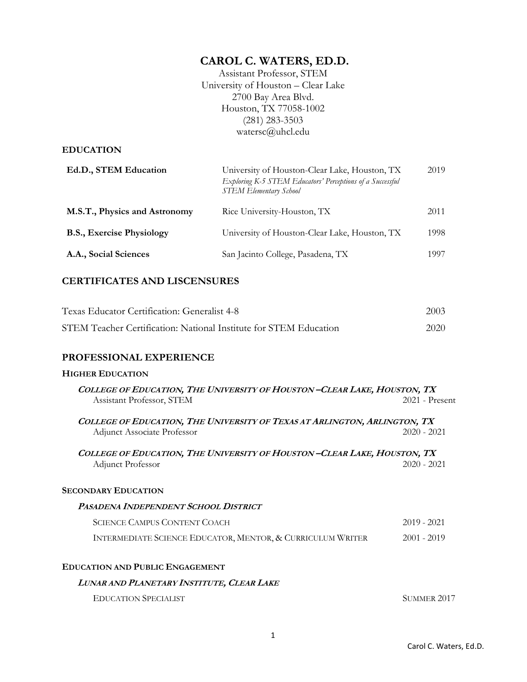# **CAROL C. WATERS, ED.D.**

Assistant Professor, STEM University of Houston – Clear Lake 2700 Bay Area Blvd. Houston, TX 77058-1002 (281) 283-3503 watersc@uhcl.edu

### **EDUCATION**

| Ed.D., STEM Education            | University of Houston-Clear Lake, Houston, TX<br>Exploring K-5 STEM Educators' Perceptions of a Successful<br><b>STEM Elementary School</b> | 2019  |
|----------------------------------|---------------------------------------------------------------------------------------------------------------------------------------------|-------|
| M.S.T., Physics and Astronomy    | Rice University-Houston, TX                                                                                                                 | 2011  |
| <b>B.S., Exercise Physiology</b> | University of Houston-Clear Lake, Houston, TX                                                                                               | 1998  |
| A.A., Social Sciences            | San Jacinto College, Pasadena, TX                                                                                                           | 1997. |

# **CERTIFICATES AND LISCENSURES**

| Texas Educator Certification: Generalist 4-8                      | 2003 |
|-------------------------------------------------------------------|------|
| STEM Teacher Certification: National Institute for STEM Education | 2020 |

## **PROFESSIONAL EXPERIENCE**

### **HIGHER EDUCATION**

| COLLEGE OF EDUCATION, THE UNIVERSITY OF HOUSTON-CLEAR LAKE, HOUSTON, TX                                         |                    |  |
|-----------------------------------------------------------------------------------------------------------------|--------------------|--|
| Assistant Professor, STEM                                                                                       | $2021$ - Present   |  |
| COLLEGE OF EDUCATION, THE UNIVERSITY OF TEXAS AT ARLINGTON, ARLINGTON, TX<br><b>Adjunct Associate Professor</b> | $2020 - 2021$      |  |
| COLLEGE OF EDUCATION, THE UNIVERSITY OF HOUSTON-CLEAR LAKE, HOUSTON, TX<br>Adjunct Professor                    | 2020 - 2021        |  |
| <b>SECONDARY EDUCATION</b>                                                                                      |                    |  |
| <b>PASADENA INDEPENDENT SCHOOL DISTRICT</b>                                                                     |                    |  |
| <b>SCIENCE CAMPUS CONTENT COACH</b>                                                                             | $2019 - 2021$      |  |
| INTERMEDIATE SCIENCE EDUCATOR, MENTOR, & CURRICULUM WRITER                                                      | 2001 - 2019        |  |
| <b>EDUCATION AND PUBLIC ENGAGEMENT</b>                                                                          |                    |  |
| LUNAR AND PLANETARY INSTITUTE, CLEAR LAKE                                                                       |                    |  |
| <b>EDUCATION SPECIALIST</b>                                                                                     | <b>SUMMER 2017</b> |  |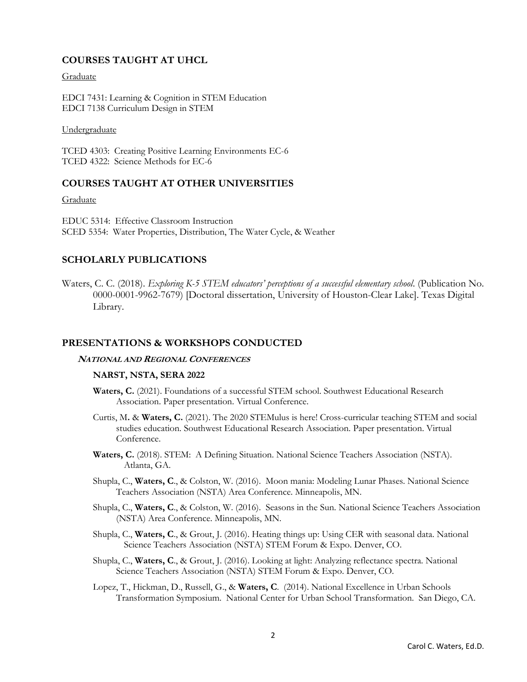### **COURSES TAUGHT AT UHCL**

Graduate

EDCI 7431: Learning & Cognition in STEM Education EDCI 7138 Curriculum Design in STEM

Undergraduate

TCED 4303: Creating Positive Learning Environments EC-6 TCED 4322: Science Methods for EC-6

### **COURSES TAUGHT AT OTHER UNIVERSITIES**

### **Graduate**

EDUC 5314: Effective Classroom Instruction SCED 5354: Water Properties, Distribution, The Water Cycle, & Weather

### **SCHOLARLY PUBLICATIONS**

Waters, C. C. (2018). *Exploring K-5 STEM educators' perceptions of a successful elementary school*. (Publication No. 0000-0001-9962-7679) [Doctoral dissertation, University of Houston-Clear Lake]. Texas Digital Library.

### **PRESENTATIONS & WORKSHOPS CONDUCTED**

### **NATIONAL AND REGIONAL CONFERENCES**

### **NARST, NSTA, SERA 2022**

- **Waters, C.** (2021). Foundations of a successful STEM school. Southwest Educational Research Association. Paper presentation. Virtual Conference.
- Curtis, M**.** & **Waters, C.** (2021). The 2020 STEMulus is here! Cross-curricular teaching STEM and social studies education. Southwest Educational Research Association. Paper presentation. Virtual Conference.
- **Waters, C.** (2018). STEM: A Defining Situation. National Science Teachers Association (NSTA). Atlanta, GA.
- Shupla, C., **Waters, C**., & Colston, W. (2016). Moon mania: Modeling Lunar Phases. National Science Teachers Association (NSTA) Area Conference. Minneapolis, MN.
- Shupla, C., **Waters, C**., & Colston, W. (2016). Seasons in the Sun. National Science Teachers Association (NSTA) Area Conference. Minneapolis, MN.
- Shupla, C., **Waters, C**., & Grout, J. (2016). Heating things up: Using CER with seasonal data. National Science Teachers Association (NSTA) STEM Forum & Expo. Denver, CO.
- Shupla, C., **Waters, C**., & Grout, J. (2016). Looking at light: Analyzing reflectance spectra. National Science Teachers Association (NSTA) STEM Forum & Expo. Denver, CO.
- Lopez, T., Hickman, D., Russell, G., & **Waters, C**. (2014). National Excellence in Urban Schools Transformation Symposium. National Center for Urban School Transformation. San Diego, CA.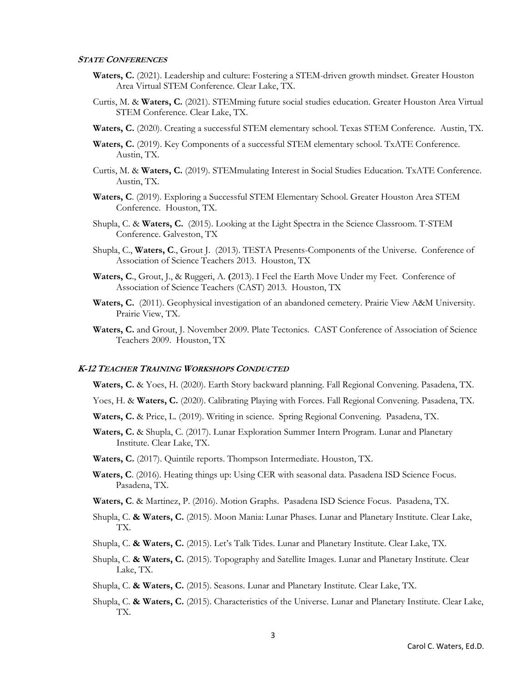#### **STATE CONFERENCES**

- Waters, C. (2021). Leadership and culture: Fostering a STEM-driven growth mindset. Greater Houston Area Virtual STEM Conference. Clear Lake, TX.
- Curtis, M. & **Waters, C.** (2021). STEMming future social studies education. Greater Houston Area Virtual STEM Conference. Clear Lake, TX.
- **Waters, C.** (2020). Creating a successful STEM elementary school. Texas STEM Conference. Austin, TX.
- **Waters, C.** (2019). Key Components of a successful STEM elementary school. TxATE Conference. Austin, TX.
- Curtis, M. & **Waters, C.** (2019). STEMmulating Interest in Social Studies Education. TxATE Conference. Austin, TX.
- **Waters, C**. (2019). Exploring a Successful STEM Elementary School. Greater Houston Area STEM Conference. Houston, TX.
- Shupla, C. & **Waters, C.** (2015). Looking at the Light Spectra in the Science Classroom. T-STEM Conference. Galveston, TX
- Shupla, C., **Waters, C**., Grout J. (2013). TESTA Presents-Components of the Universe. Conference of Association of Science Teachers 2013. Houston, TX
- **Waters, C**., Grout, J., & Ruggeri, A. **(**2013). I Feel the Earth Move Under my Feet. Conference of Association of Science Teachers (CAST) 2013. Houston, TX
- **Waters, C.** (2011). Geophysical investigation of an abandoned cemetery. Prairie View A&M University. Prairie View, TX.
- **Waters, C.** and Grout, J. November 2009. Plate Tectonics. CAST Conference of Association of Science Teachers 2009. Houston, TX

#### **K-12 TEACHER TRAINING WORKSHOPS CONDUCTED**

**Waters, C.** & Yoes, H. (2020). Earth Story backward planning. Fall Regional Convening. Pasadena, TX.

Yoes, H. & **Waters, C.** (2020). Calibrating Playing with Forces. Fall Regional Convening. Pasadena, TX.

- **Waters, C.** & Price, L. (2019). Writing in science. Spring Regional Convening. Pasadena, TX.
- **Waters, C.** & Shupla, C. (2017). Lunar Exploration Summer Intern Program. Lunar and Planetary Institute. Clear Lake, TX.
- **Waters, C.** (2017). Quintile reports. Thompson Intermediate. Houston, TX.
- **Waters, C**. (2016). Heating things up: Using CER with seasonal data. Pasadena ISD Science Focus. Pasadena, TX.
- **Waters, C**. & Martinez, P. (2016). Motion Graphs. Pasadena ISD Science Focus. Pasadena, TX.
- Shupla, C. **& Waters, C.** (2015). Moon Mania: Lunar Phases. Lunar and Planetary Institute. Clear Lake, TX.
- Shupla, C. **& Waters, C.** (2015). Let's Talk Tides. Lunar and Planetary Institute. Clear Lake, TX.
- Shupla, C. **& Waters, C.** (2015). Topography and Satellite Images. Lunar and Planetary Institute. Clear Lake, TX.
- Shupla, C. **& Waters, C.** (2015). Seasons. Lunar and Planetary Institute. Clear Lake, TX.
- Shupla, C. **& Waters, C.** (2015). Characteristics of the Universe. Lunar and Planetary Institute. Clear Lake, TX.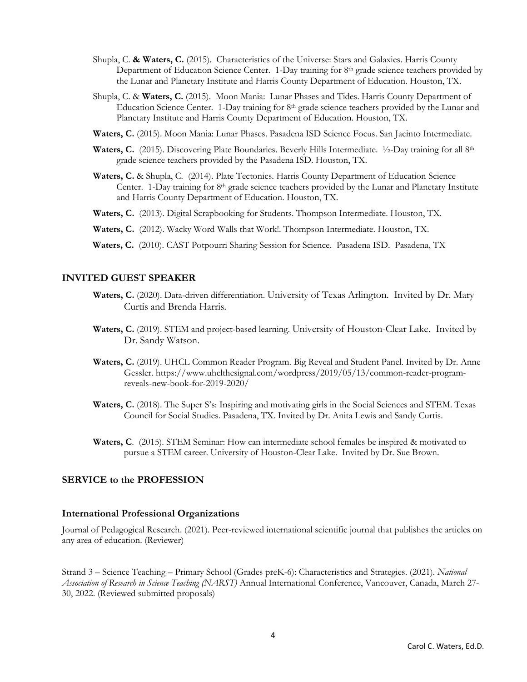- Shupla, C. **& Waters, C.** (2015). Characteristics of the Universe: Stars and Galaxies. Harris County Department of Education Science Center. 1-Day training for 8th grade science teachers provided by the Lunar and Planetary Institute and Harris County Department of Education. Houston, TX.
- Shupla, C. & **Waters, C.** (2015). Moon Mania: Lunar Phases and Tides. Harris County Department of Education Science Center. 1-Day training for  $8<sup>th</sup>$  grade science teachers provided by the Lunar and Planetary Institute and Harris County Department of Education. Houston, TX.
- **Waters, C.** (2015). Moon Mania: Lunar Phases. Pasadena ISD Science Focus. San Jacinto Intermediate.
- Waters, C. (2015). Discovering Plate Boundaries. Beverly Hills Intermediate. <sup>1</sup>/<sub>2</sub>-Day training for all 8<sup>th</sup> grade science teachers provided by the Pasadena ISD. Houston, TX.
- **Waters, C.** & Shupla, C*.* (2014). Plate Tectonics. Harris County Department of Education Science Center. 1-Day training for 8th grade science teachers provided by the Lunar and Planetary Institute and Harris County Department of Education. Houston, TX.
- **Waters, C.**(2013). Digital Scrapbooking for Students. Thompson Intermediate. Houston, TX.
- **Waters, C.**(2012). Wacky Word Walls that Work!. Thompson Intermediate. Houston, TX.
- **Waters, C.** (2010). CAST Potpourri Sharing Session for Science. Pasadena ISD. Pasadena, TX

### **INVITED GUEST SPEAKER**

- **Waters, C.** (2020). Data-driven differentiation. University of Texas Arlington. Invited by Dr. Mary Curtis and Brenda Harris.
- Waters, C. (2019). STEM and project-based learning. University of Houston-Clear Lake. Invited by Dr. Sandy Watson.
- **Waters, C.** (2019). UHCL Common Reader Program. Big Reveal and Student Panel. Invited by Dr. Anne Gessler. https://www.uhclthesignal.com/wordpress/2019/05/13/common-reader-programreveals-new-book-for-2019-2020/
- **Waters, C.** (2018). The Super S's: Inspiring and motivating girls in the Social Sciences and STEM. Texas Council for Social Studies. Pasadena, TX. Invited by Dr. Anita Lewis and Sandy Curtis.
- **Waters, C**. (2015). STEM Seminar: How can intermediate school females be inspired & motivated to pursue a STEM career. University of Houston-Clear Lake. Invited by Dr. Sue Brown.

### **SERVICE to the PROFESSION**

### **International Professional Organizations**

Journal of Pedagogical Research. (2021). Peer-reviewed international scientific journal that publishes the articles on any area of education. (Reviewer)

Strand 3 – Science Teaching – Primary School (Grades preK-6): Characteristics and Strategies. (2021). *National Association of Research in Science Teaching (NARST)* Annual International Conference, Vancouver, Canada, March 27- 30, 2022. (Reviewed submitted proposals)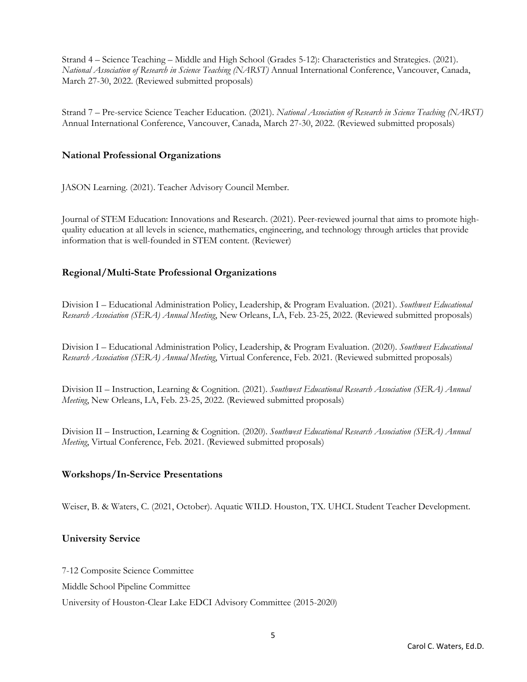Strand 4 – Science Teaching – Middle and High School (Grades 5-12): Characteristics and Strategies. (2021). *National Association of Research in Science Teaching (NARST)* Annual International Conference, Vancouver, Canada, March 27-30, 2022. (Reviewed submitted proposals)

Strand 7 – Pre-service Science Teacher Education. (2021). *National Association of Research in Science Teaching (NARST)* Annual International Conference, Vancouver, Canada, March 27-30, 2022. (Reviewed submitted proposals)

### **National Professional Organizations**

JASON Learning. (2021). Teacher Advisory Council Member.

Journal of STEM Education: Innovations and Research. (2021). Peer-reviewed journal that aims to promote highquality education at all levels in science, mathematics, engineering, and technology through articles that provide information that is well-founded in STEM content. (Reviewer)

### **Regional/Multi-State Professional Organizations**

Division I – Educational Administration Policy, Leadership, & Program Evaluation. (2021). *Southwest Educational Research Association (SERA) Annual Meeting*, New Orleans, LA, Feb. 23-25, 2022. (Reviewed submitted proposals)

Division I – Educational Administration Policy, Leadership, & Program Evaluation. (2020). *Southwest Educational Research Association (SERA) Annual Meeting*, Virtual Conference, Feb. 2021. (Reviewed submitted proposals)

Division II – Instruction, Learning & Cognition. (2021). *Southwest Educational Research Association (SERA) Annual Meeting*, New Orleans, LA, Feb. 23-25, 2022. (Reviewed submitted proposals)

Division II – Instruction, Learning & Cognition. (2020). *Southwest Educational Research Association (SERA) Annual Meeting*, Virtual Conference, Feb. 2021. (Reviewed submitted proposals)

### **Workshops/In-Service Presentations**

Weiser, B. & Waters, C. (2021, October). Aquatic WILD. Houston, TX. UHCL Student Teacher Development.

### **University Service**

7-12 Composite Science Committee

Middle School Pipeline Committee

University of Houston-Clear Lake EDCI Advisory Committee (2015-2020)